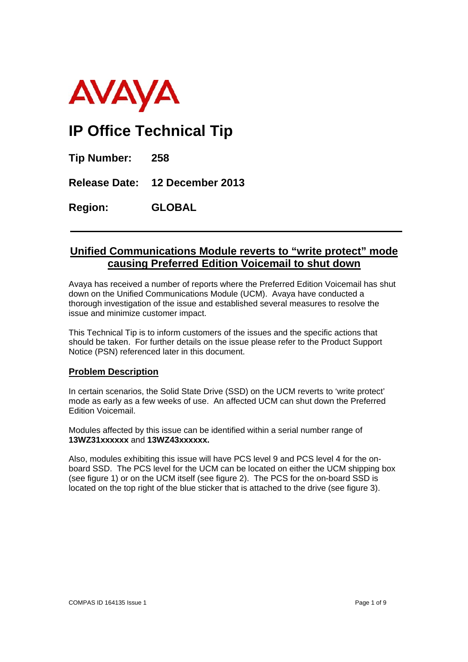

# **IP Office Technical Tip**

**Tip Number: 258** 

**Release Date: 12 December 2013** 

**Region: GLOBAL**

# **Unified Communications Module reverts to "write protect" mode causing Preferred Edition Voicemail to shut down**

Avaya has received a number of reports where the Preferred Edition Voicemail has shut down on the Unified Communications Module (UCM). Avaya have conducted a thorough investigation of the issue and established several measures to resolve the issue and minimize customer impact.

This Technical Tip is to inform customers of the issues and the specific actions that should be taken. For further details on the issue please refer to the Product Support Notice (PSN) referenced later in this document.

# **Problem Description**

In certain scenarios, the Solid State Drive (SSD) on the UCM reverts to 'write protect' mode as early as a few weeks of use. An affected UCM can shut down the Preferred Edition Voicemail.

Modules affected by this issue can be identified within a serial number range of **13WZ31xxxxxx** and **13WZ43xxxxxx.** 

Also, modules exhibiting this issue will have PCS level 9 and PCS level 4 for the onboard SSD. The PCS level for the UCM can be located on either the UCM shipping box (see figure 1) or on the UCM itself (see figure 2). The PCS for the on-board SSD is located on the top right of the blue sticker that is attached to the drive (see figure 3).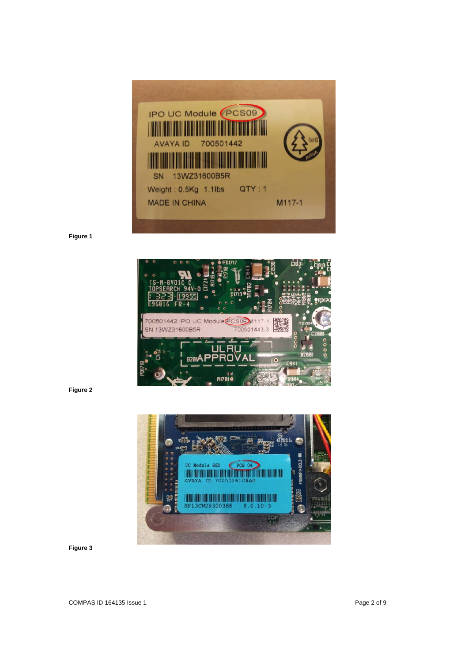

**Figure 1** 



**Figure 2** 

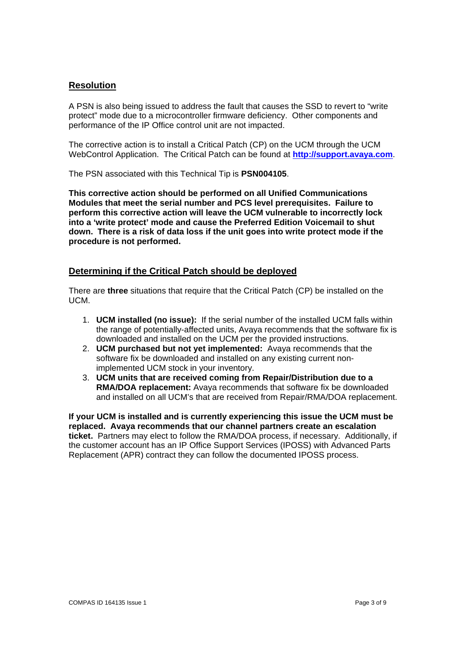## **Resolution**

A PSN is also being issued to address the fault that causes the SSD to revert to "write protect" mode due to a microcontroller firmware deficiency. Other components and performance of the IP Office control unit are not impacted.

The corrective action is to install a Critical Patch (CP) on the UCM through the UCM WebControl Application. The Critical Patch can be found at **http://support.avaya.com**.

The PSN associated with this Technical Tip is **PSN004105**.

**This corrective action should be performed on all Unified Communications Modules that meet the serial number and PCS level prerequisites. Failure to perform this corrective action will leave the UCM vulnerable to incorrectly lock into a 'write protect' mode and cause the Preferred Edition Voicemail to shut down. There is a risk of data loss if the unit goes into write protect mode if the procedure is not performed.** 

## **Determining if the Critical Patch should be deployed**

There are **three** situations that require that the Critical Patch (CP) be installed on the UCM.

- 1. **UCM installed (no issue):** If the serial number of the installed UCM falls within the range of potentially-affected units, Avaya recommends that the software fix is downloaded and installed on the UCM per the provided instructions.
- 2. **UCM purchased but not yet implemented:** Avaya recommends that the software fix be downloaded and installed on any existing current nonimplemented UCM stock in your inventory.
- 3. **UCM units that are received coming from Repair/Distribution due to a RMA/DOA replacement:** Avaya recommends that software fix be downloaded and installed on all UCM's that are received from Repair/RMA/DOA replacement.

**If your UCM is installed and is currently experiencing this issue the UCM must be replaced. Avaya recommends that our channel partners create an escalation ticket.** Partners may elect to follow the RMA/DOA process, if necessary. Additionally, if the customer account has an IP Office Support Services (IPOSS) with Advanced Parts Replacement (APR) contract they can follow the documented IPOSS process.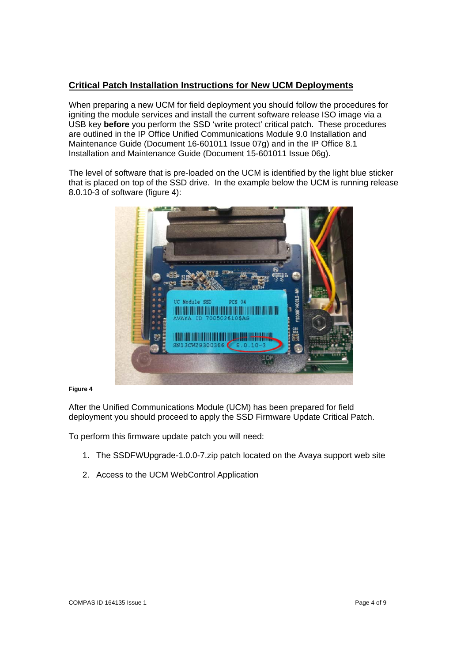# **Critical Patch Installation Instructions for New UCM Deployments**

When preparing a new UCM for field deployment you should follow the procedures for igniting the module services and install the current software release ISO image via a USB key **before** you perform the SSD 'write protect' critical patch. These procedures are outlined in the IP Office Unified Communications Module 9.0 Installation and Maintenance Guide (Document 16-601011 Issue 07g) and in the IP Office 8.1 Installation and Maintenance Guide (Document 15-601011 Issue 06g).

The level of software that is pre-loaded on the UCM is identified by the light blue sticker that is placed on top of the SSD drive. In the example below the UCM is running release 8.0.10-3 of software (figure 4):



#### **Figure 4**

After the Unified Communications Module (UCM) has been prepared for field deployment you should proceed to apply the SSD Firmware Update Critical Patch.

To perform this firmware update patch you will need:

- 1. The SSDFWUpgrade-1.0.0-7.zip patch located on the Avaya support web site
- 2. Access to the UCM WebControl Application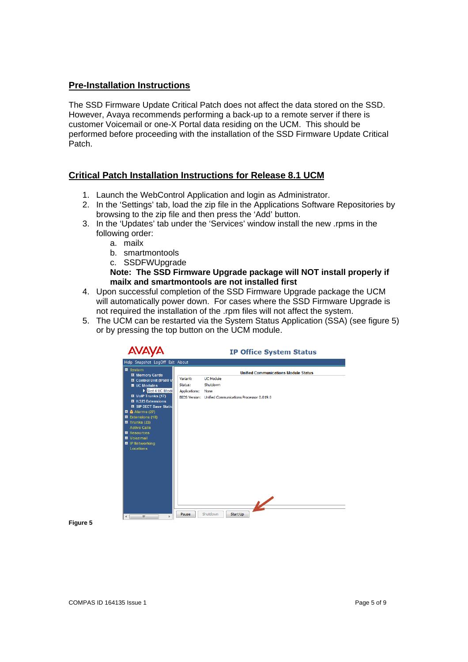## **Pre-Installation Instructions**

The SSD Firmware Update Critical Patch does not affect the data stored on the SSD. However, Avaya recommends performing a back-up to a remote server if there is customer Voicemail or one-X Portal data residing on the UCM. This should be performed before proceeding with the installation of the SSD Firmware Update Critical Patch.

## **Critical Patch Installation Instructions for Release 8.1 UCM**

- 1. Launch the WebControl Application and login as Administrator.
- 2. In the 'Settings' tab, load the zip file in the Applications Software Repositories by browsing to the zip file and then press the 'Add' button.
- 3. In the 'Updates' tab under the 'Services' window install the new .rpms in the following order:
	- a. mailx
	- b. smartmontools
	- c. SSDFWUpgrade
	- **Note: The SSD Firmware Upgrade package will NOT install properly if mailx and smartmontools are not installed first**
- 4. Upon successful completion of the SSD Firmware Upgrade package the UCM will automatically power down. For cases where the SSD Firmware Upgrade is not required the installation of the .rpm files will not affect the system.
- 5. The UCM can be restarted via the System Status Application (SSA) (see figure 5) or by pressing the top button on the UCM module.

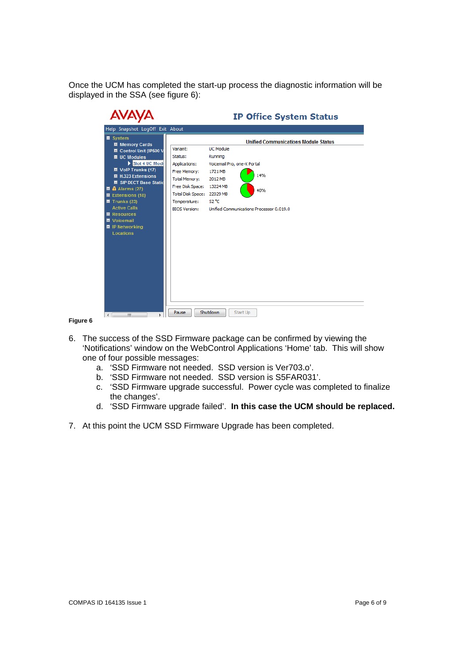Once the UCM has completed the start-up process the diagnostic information will be displayed in the SSA (see figure 6):

| <b>AVAYA</b>                                                                                                                                                                                                                                                                                                                                                                               | <b>IP Office System Status</b>                                                                                                                                                                                                                                                                                                                                                                     |
|--------------------------------------------------------------------------------------------------------------------------------------------------------------------------------------------------------------------------------------------------------------------------------------------------------------------------------------------------------------------------------------------|----------------------------------------------------------------------------------------------------------------------------------------------------------------------------------------------------------------------------------------------------------------------------------------------------------------------------------------------------------------------------------------------------|
| Help Snapshot LogOff Exit About                                                                                                                                                                                                                                                                                                                                                            |                                                                                                                                                                                                                                                                                                                                                                                                    |
| ■ System<br><b>Ⅲ</b> Memory Cards<br><b>El</b> Control Unit (IP500 V<br>$\blacksquare$ UC Modules<br>Slot 4 UC Mode<br>Ⅲ VolP Trunks (17)<br>■ H.323 Extensions<br><b>El SIP DECT Base Static</b><br>$\blacksquare$ $\clubsuit$ Alarms (27)<br>■ Extensions (18)<br>$\blacksquare$ Trunks (23)<br><b>Active Calls</b><br>■ Resources<br>■ Voicemail<br>■ IP Networking<br><b>Locations</b> | <b>Unified Communications Module Status</b><br><b>UC Module</b><br>Variant:<br>Status:<br>Running<br>Applications:<br>Voicemail Pro, one-X Portal<br>1721 MB<br>Free Memory:<br>14%<br><b>Total Memory:</b><br>2012 MB<br>Free Disk Space:<br>13224 MB<br>40%<br><b>Total Disk Space:</b><br>22029 MB<br>52 °C<br>Temperature:<br>Unified Communications Processor 0.019.0<br><b>BIOS Version:</b> |
| €.<br>m                                                                                                                                                                                                                                                                                                                                                                                    | Shutdown<br>Start Up<br>Pause                                                                                                                                                                                                                                                                                                                                                                      |

- 6. The success of the SSD Firmware package can be confirmed by viewing the 'Notifications' window on the WebControl Applications 'Home' tab. This will show one of four possible messages:
	- a. 'SSD Firmware not needed. SSD version is Ver703.o'.
	- b. 'SSD Firmware not needed. SSD version is S5FAR031'.
	- c. 'SSD Firmware upgrade successful. Power cycle was completed to finalize the changes'.
	- d. 'SSD Firmware upgrade failed'. **In this case the UCM should be replaced.**
- 7. At this point the UCM SSD Firmware Upgrade has been completed.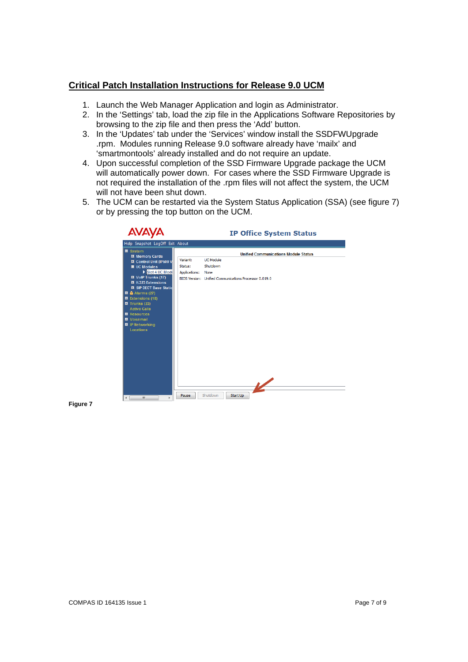# **Critical Patch Installation Instructions for Release 9.0 UCM**

- 1. Launch the Web Manager Application and login as Administrator.
- 2. In the 'Settings' tab, load the zip file in the Applications Software Repositories by browsing to the zip file and then press the 'Add' button.
- 3. In the 'Updates' tab under the 'Services' window install the SSDFWUpgrade .rpm. Modules running Release 9.0 software already have 'mailx' and 'smartmontools' already installed and do not require an update.
- 4. Upon successful completion of the SSD Firmware Upgrade package the UCM will automatically power down. For cases where the SSD Firmware Upgrade is not required the installation of the .rpm files will not affect the system, the UCM will not have been shut down.
- 5. The UCM can be restarted via the System Status Application (SSA) (see figure 7) or by pressing the top button on the UCM.

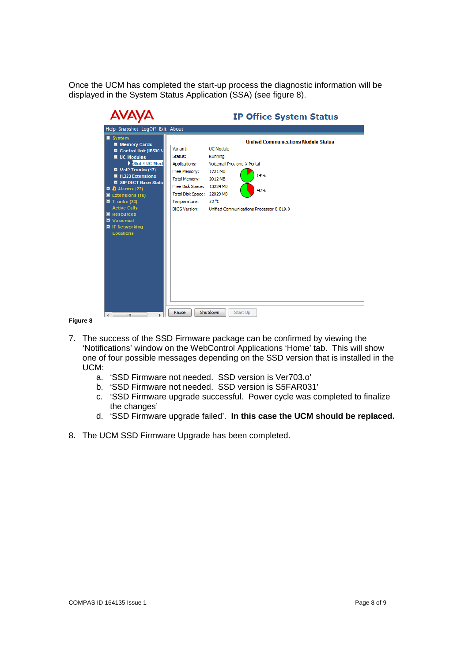Once the UCM has completed the start-up process the diagnostic information will be displayed in the System Status Application (SSA) (see figure 8).

| <b>AVAY</b>                                                                                                                                                                                                                                                                                                                                                                                                             | <b>IP Office System Status</b>                                                                                                                                                                                                                                                                                                                                                                     |
|-------------------------------------------------------------------------------------------------------------------------------------------------------------------------------------------------------------------------------------------------------------------------------------------------------------------------------------------------------------------------------------------------------------------------|----------------------------------------------------------------------------------------------------------------------------------------------------------------------------------------------------------------------------------------------------------------------------------------------------------------------------------------------------------------------------------------------------|
| Help Snapshot LogOff Exit About                                                                                                                                                                                                                                                                                                                                                                                         |                                                                                                                                                                                                                                                                                                                                                                                                    |
| $\blacksquare$ System<br><b>El</b> Memory Cards<br><b>El</b> Control Unit (IP500 V<br>$\blacksquare$ UC Modules<br>Slot 4 UC Mode<br><b>El</b> VolP Trunks (17)<br>■ H.323 Extensions<br><b>El SIP DECT Base Static</b><br>$\blacksquare$ $\clubsuit$ Alarms (27)<br>■ Extensions (18)<br>$\blacksquare$ Trunks (23)<br><b>Active Calls</b><br>■ Resources<br><b>N</b> Voicemail<br>■ IP Networking<br><b>Locations</b> | <b>Unified Communications Module Status</b><br><b>UC Module</b><br>Variant:<br>Status:<br>Running<br>Voicemail Pro, one-X Portal<br>Applications:<br>Free Memory:<br>1721 MB<br>14%<br><b>Total Memory:</b><br>2012 MB<br>Free Disk Space:<br>13224 MB<br>40%<br><b>Total Disk Space:</b><br>22029 MB<br>52 °C<br>Temperature:<br><b>BIOS Version:</b><br>Unified Communications Processor 0.019.0 |
| ∢<br>m.                                                                                                                                                                                                                                                                                                                                                                                                                 | <b>Shutdown</b><br>Start Up<br>Pause                                                                                                                                                                                                                                                                                                                                                               |

- 7. The success of the SSD Firmware package can be confirmed by viewing the 'Notifications' window on the WebControl Applications 'Home' tab. This will show one of four possible messages depending on the SSD version that is installed in the UCM:
	- a. 'SSD Firmware not needed. SSD version is Ver703.o'
	- b. 'SSD Firmware not needed. SSD version is S5FAR031'
	- c. 'SSD Firmware upgrade successful. Power cycle was completed to finalize the changes'
	- d. 'SSD Firmware upgrade failed'. **In this case the UCM should be replaced.**
- 8. The UCM SSD Firmware Upgrade has been completed.